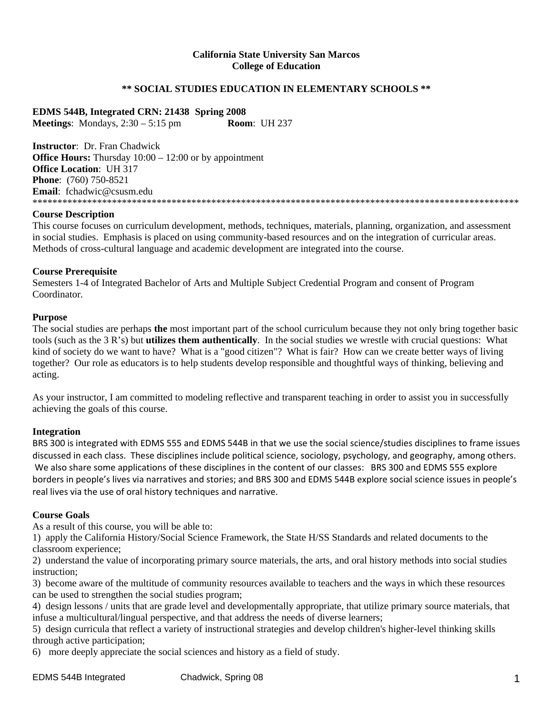#### **California State University San Marcos College of Education**

## **\*\* SOCIAL STUDIES EDUCATION IN ELEMENTARY SCHOOLS \*\***

**EDMS 544B, Integrated CRN: 21438 Spring 2008 Meetings**: Mondays, 2:30 – 5:15 pm **Room**: UH 237

**Instructor**: Dr. Fran Chadwick **Office Hours:** Thursday  $10:00 - 12:00$  or by appointment **Office Location**: UH 317 **Phone**: (760) 750-8521 **Email**: fchadwic@csusm.edu \*\*\*\*\*\*\*\*\*\*\*\*\*\*\*\*\*\*\*\*\*\*\*\*\*\*\*\*\*\*\*\*\*\*\*\*\*\*\*\*\*\*\*\*\*\*\*\*\*\*\*\*\*\*\*\*\*\*\*\*\*\*\*\*\*\*\*\*\*\*\*\*\*\*\*\*\*\*\*\*\*\*\*\*\*\*\*\*\*\*\*\*\*\*\*\*\*\*

#### **Course Description**

This course focuses on curriculum development, methods, techniques, materials, planning, organization, and assessment in social studies. Emphasis is placed on using community-based resources and on the integration of curricular areas. Methods of cross-cultural language and academic development are integrated into the course.

#### **Course Prerequisite**

Semesters 1-4 of Integrated Bachelor of Arts and Multiple Subject Credential Program and consent of Program Coordinator.

#### **Purpose**

The social studies are perhaps **the** most important part of the school curriculum because they not only bring together basic tools (such as the 3 R's) but **utilizes them authentically**. In the social studies we wrestle with crucial questions: What kind of society do we want to have? What is a "good citizen"? What is fair? How can we create better ways of living together? Our role as educators is to help students develop responsible and thoughtful ways of thinking, believing and acting.

As your instructor, I am committed to modeling reflective and transparent teaching in order to assist you in successfully achieving the goals of this course.

#### **Integration**

BRS 300 is integrated with EDMS 555 and EDMS 544B in that we use the social science/studies disciplines to frame issues discussed in each class. These disciplines include political science, sociology, psychology, and geography, among others. We also share some applications of these disciplines in the content of our classes: BRS 300 and EDMS 555 explore borders in people's lives via narratives and stories; and BRS 300 and EDMS 544B explore social science issues in people's real lives via the use of oral history techniques and narrative.

#### **Course Goals**

As a result of this course, you will be able to:

1) apply the California History/Social Science Framework, the State H/SS Standards and related documents to the classroom experience;

2) understand the value of incorporating primary source materials, the arts, and oral history methods into social studies instruction;

3) become aware of the multitude of community resources available to teachers and the ways in which these resources can be used to strengthen the social studies program;

4) design lessons / units that are grade level and developmentally appropriate, that utilize primary source materials, that infuse a multicultural/lingual perspective, and that address the needs of diverse learners;

5) design curricula that reflect a variety of instructional strategies and develop children's higher-level thinking skills through active participation;

6) more deeply appreciate the social sciences and history as a field of study.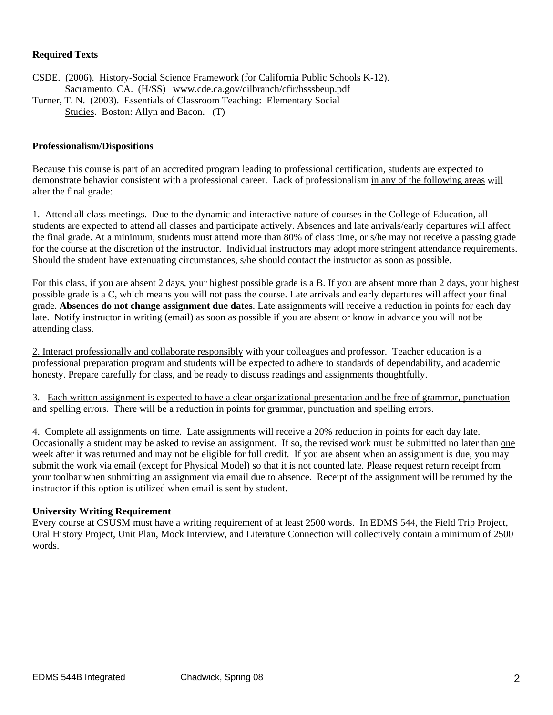## **Required Texts**

CSDE. (2006). History-Social Science Framework (for California Public Schools K-12). Sacramento, CA. (H/SS) www.cde.ca.gov/cilbranch/cfir/hsssbeup.pdf Turner, T. N. (2003). Essentials of Classroom Teaching: Elementary Social Studies. Boston: Allyn and Bacon. (T)

#### **Professionalism/Dispositions**

Because this course is part of an accredited program leading to professional certification, students are expected to demonstrate behavior consistent with a professional career. Lack of professionalism in any of the following areas will alter the final grade:

1. Attend all class meetings. Due to the dynamic and interactive nature of courses in the College of Education, all students are expected to attend all classes and participate actively. Absences and late arrivals/early departures will affect the final grade. At a minimum, students must attend more than 80% of class time, or s/he may not receive a passing grade for the course at the discretion of the instructor. Individual instructors may adopt more stringent attendance requirements. Should the student have extenuating circumstances, s/he should contact the instructor as soon as possible.

For this class, if you are absent 2 days, your highest possible grade is a B. If you are absent more than 2 days, your highest possible grade is a C, which means you will not pass the course. Late arrivals and early departures will affect your final grade. **Absences do not change assignment due dates**. Late assignments will receive a reduction in points for each day late. Notify instructor in writing (email) as soon as possible if you are absent or know in advance you will not be attending class.

2. Interact professionally and collaborate responsibly with your colleagues and professor. Teacher education is a professional preparation program and students will be expected to adhere to standards of dependability, and academic honesty. Prepare carefully for class, and be ready to discuss readings and assignments thoughtfully.

3. Each written assignment is expected to have a clear organizational presentation and be free of grammar, punctuation and spelling errors. There will be a reduction in points for grammar, punctuation and spelling errors.

4. Complete all assignments on time. Late assignments will receive a 20% reduction in points for each day late. Occasionally a student may be asked to revise an assignment. If so, the revised work must be submitted no later than one week after it was returned and may not be eligible for full credit. If you are absent when an assignment is due, you may submit the work via email (except for Physical Model) so that it is not counted late. Please request return receipt from your toolbar when submitting an assignment via email due to absence. Receipt of the assignment will be returned by the instructor if this option is utilized when email is sent by student.

#### **University Writing Requirement**

Every course at CSUSM must have a writing requirement of at least 2500 words. In EDMS 544, the Field Trip Project, Oral History Project, Unit Plan, Mock Interview, and Literature Connection will collectively contain a minimum of 2500 words.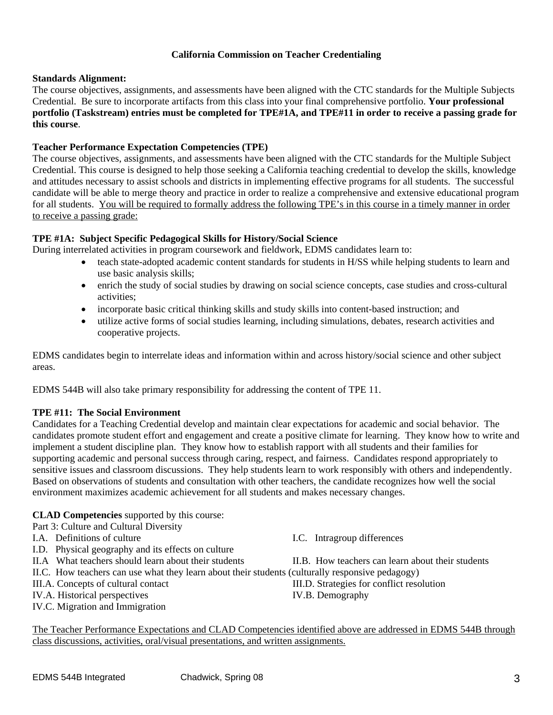## **California Commission on Teacher Credentialing**

#### **Standards Alignment:**

The course objectives, assignments, and assessments have been aligned with the CTC standards for the Multiple Subjects Credential. Be sure to incorporate artifacts from this class into your final comprehensive portfolio. **Your professional portfolio (Taskstream) entries must be completed for TPE#1A, and TPE#11 in order to receive a passing grade for this course**.

## **Teacher Performance Expectation Competencies (TPE)**

The course objectives, assignments, and assessments have been aligned with the CTC standards for the Multiple Subject Credential. This course is designed to help those seeking a California teaching credential to develop the skills, knowledge and attitudes necessary to assist schools and districts in implementing effective programs for all students. The successful candidate will be able to merge theory and practice in order to realize a comprehensive and extensive educational program for all students. You will be required to formally address the following TPE's in this course in a timely manner in order to receive a passing grade:

## **TPE #1A: Subject Specific Pedagogical Skills for History/Social Science**

During interrelated activities in program coursework and fieldwork, EDMS candidates learn to:

- teach state-adopted academic content standards for students in H/SS while helping students to learn and use basic analysis skills;
- enrich the study of social studies by drawing on social science concepts, case studies and cross-cultural activities;
- incorporate basic critical thinking skills and study skills into content-based instruction; and
- utilize active forms of social studies learning, including simulations, debates, research activities and cooperative projects.

EDMS candidates begin to interrelate ideas and information within and across history/social science and other subject areas.

EDMS 544B will also take primary responsibility for addressing the content of TPE 11.

## **TPE #11: The Social Environment**

Candidates for a Teaching Credential develop and maintain clear expectations for academic and social behavior. The candidates promote student effort and engagement and create a positive climate for learning. They know how to write and implement a student discipline plan. They know how to establish rapport with all students and their families for supporting academic and personal success through caring, respect, and fairness. Candidates respond appropriately to sensitive issues and classroom discussions. They help students learn to work responsibly with others and independently. Based on observations of students and consultation with other teachers, the candidate recognizes how well the social environment maximizes academic achievement for all students and makes necessary changes.

## **CLAD Competencies** supported by this course:

Part 3: Culture and Cultural Diversity

- 
- I.D. Physical geography and its effects on culture
- 
- II.C. How teachers can use what they learn about their students (culturally responsive pedagogy)
- 
- IV.A. Historical perspectives IV.B. Demography
- IV.C. Migration and Immigration

I.A. Definitions of culture I.C. Intragroup differences

II.A What teachers should learn about their students II.B. How teachers can learn about their students

III.A. Concepts of cultural contact III.D. Strategies for conflict resolution

The Teacher Performance Expectations and CLAD Competencies identified above are addressed in EDMS 544B through class discussions, activities, oral/visual presentations, and written assignments.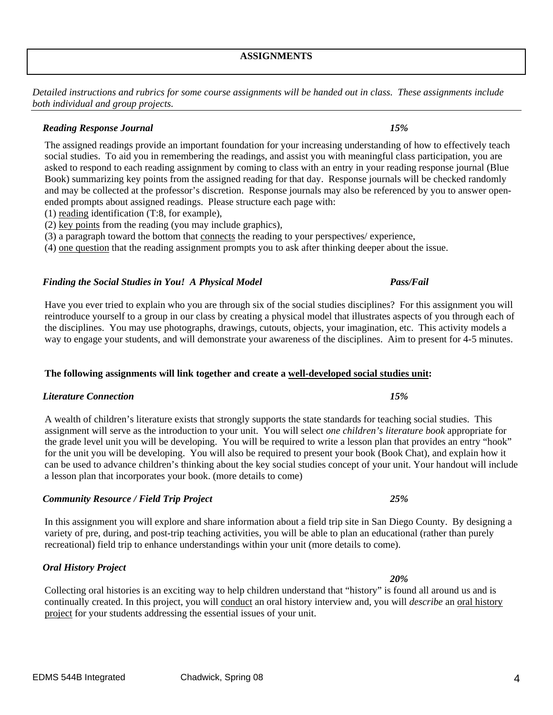## **ASSIGNMENTS**

*Detailed instructions and rubrics for some course assignments will be handed out in class. These assignments include both individual and group projects.* 

## *Reading Response Journal 15%*

The assigned readings provide an important foundation for your increasing understanding of how to effectively teach social studies. To aid you in remembering the readings, and assist you with meaningful class participation, you are asked to respond to each reading assignment by coming to class with an entry in your reading response journal (Blue Book) summarizing key points from the assigned reading for that day. Response journals will be checked randomly and may be collected at the professor's discretion. Response journals may also be referenced by you to answer openended prompts about assigned readings. Please structure each page with:

- (1) reading identification (T:8, for example),
- (2) key points from the reading (you may include graphics),
- (3) a paragraph toward the bottom that connects the reading to your perspectives/ experience,

(4) one question that the reading assignment prompts you to ask after thinking deeper about the issue.

## *Finding the Social Studies in You! A Physical Model Pass/Fail*

Have you ever tried to explain who you are through six of the social studies disciplines? For this assignment you will reintroduce yourself to a group in our class by creating a physical model that illustrates aspects of you through each of the disciplines. You may use photographs, drawings, cutouts, objects, your imagination, etc. This activity models a way to engage your students, and will demonstrate your awareness of the disciplines. Aim to present for 4-5 minutes.

# **The following assignments will link together and create a well-developed social studies unit:**

# *Literature Connection 15%*

A wealth of children's literature exists that strongly supports the state standards for teaching social studies. This assignment will serve as the introduction to your unit. You will select *one children's literature book* appropriate for the grade level unit you will be developing. You will be required to write a lesson plan that provides an entry "hook" for the unit you will be developing. You will also be required to present your book (Book Chat), and explain how it can be used to advance children's thinking about the key social studies concept of your unit. Your handout will include a lesson plan that incorporates your book. (more details to come)

# *Community Resource / Field Trip Project 25%*

In this assignment you will explore and share information about a field trip site in San Diego County. By designing a variety of pre, during, and post-trip teaching activities, you will be able to plan an educational (rather than purely recreational) field trip to enhance understandings within your unit (more details to come).

## *Oral History Project*

Collecting oral histories is an exciting way to help children understand that "history" is found all around us and is continually created. In this project, you will conduct an oral history interview and, you will *describe* an oral history project for your students addressing the essential issues of your unit.

## *20%*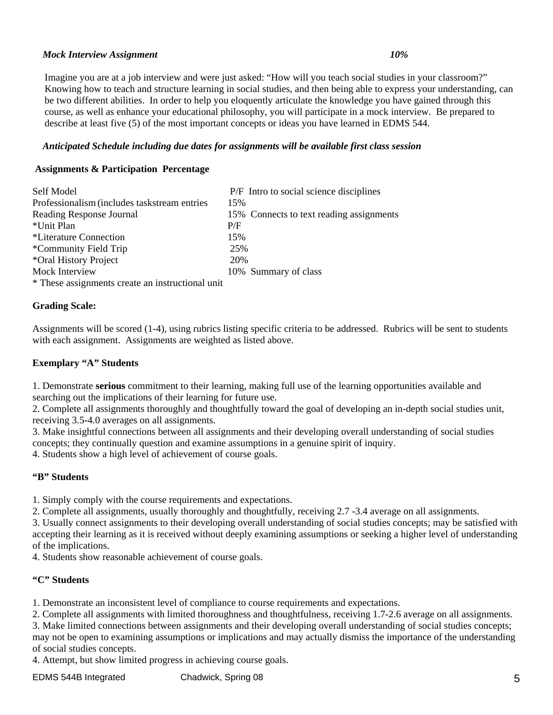## *Mock Interview Assignment 10%*

Imagine you are at a job interview and were just asked: "How will you teach social studies in your classroom?" Knowing how to teach and structure learning in social studies, and then being able to express your understanding, can be two different abilities. In order to help you eloquently articulate the knowledge you have gained through this course, as well as enhance your educational philosophy, you will participate in a mock interview. Be prepared to describe at least five (5) of the most important concepts or ideas you have learned in EDMS 544.

## *Anticipated Schedule including due dates for assignments will be available first class session*

## **Assignments & Participation Percentage**

| Self Model                                       | P/F Intro to social science disciplines  |
|--------------------------------------------------|------------------------------------------|
| Professionalism (includes taskstream entries     | 15%                                      |
| Reading Response Journal                         | 15% Connects to text reading assignments |
| *Unit Plan                                       | P/F                                      |
| *Literature Connection                           | 15%                                      |
| *Community Field Trip                            | 25%                                      |
| *Oral History Project                            | 20%                                      |
| Mock Interview                                   | 10% Summary of class                     |
| * These assignments create an instructional unit |                                          |

**Grading Scale:** 

Assignments will be scored (1-4), using rubrics listing specific criteria to be addressed. Rubrics will be sent to students with each assignment. Assignments are weighted as listed above.

## **Exemplary "A" Students**

1. Demonstrate **serious** commitment to their learning, making full use of the learning opportunities available and searching out the implications of their learning for future use.

2. Complete all assignments thoroughly and thoughtfully toward the goal of developing an in-depth social studies unit, receiving 3.5-4.0 averages on all assignments.

3. Make insightful connections between all assignments and their developing overall understanding of social studies concepts; they continually question and examine assumptions in a genuine spirit of inquiry.

4. Students show a high level of achievement of course goals.

## **"B" Students**

1. Simply comply with the course requirements and expectations.

2. Complete all assignments, usually thoroughly and thoughtfully, receiving 2.7 -3.4 average on all assignments.

3. Usually connect assignments to their developing overall understanding of social studies concepts; may be satisfied with accepting their learning as it is received without deeply examining assumptions or seeking a higher level of understanding of the implications.

4. Students show reasonable achievement of course goals.

## **"C" Students**

1. Demonstrate an inconsistent level of compliance to course requirements and expectations.

2. Complete all assignments with limited thoroughness and thoughtfulness, receiving 1.7-2.6 average on all assignments.

3. Make limited connections between assignments and their developing overall understanding of social studies concepts; may not be open to examining assumptions or implications and may actually dismiss the importance of the understanding of social studies concepts.

4. Attempt, but show limited progress in achieving course goals.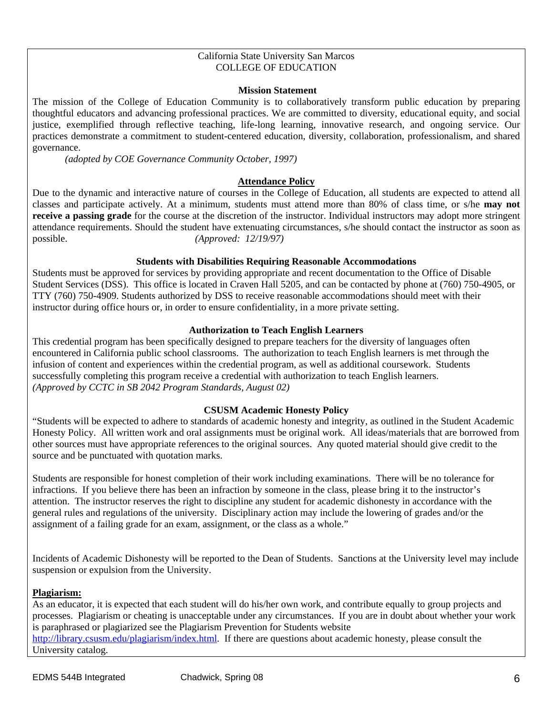#### California State University San Marcos COLLEGE OF EDUCATION

#### **Mission Statement**

The mission of the College of Education Community is to collaboratively transform public education by preparing thoughtful educators and advancing professional practices. We are committed to diversity, educational equity, and social justice, exemplified through reflective teaching, life-long learning, innovative research, and ongoing service. Our practices demonstrate a commitment to student-centered education, diversity, collaboration, professionalism, and shared governance.

*(adopted by COE Governance Community October, 1997)*

## **Attendance Policy**

Due to the dynamic and interactive nature of courses in the College of Education, all students are expected to attend all classes and participate actively. At a minimum, students must attend more than 80% of class time, or s/he **may not receive a passing grade** for the course at the discretion of the instructor. Individual instructors may adopt more stringent attendance requirements. Should the student have extenuating circumstances, s/he should contact the instructor as soon as possible. *(Approved: 12/19/97)* 

## **Students with Disabilities Requiring Reasonable Accommodations**

Students must be approved for services by providing appropriate and recent documentation to the Office of Disable Student Services (DSS). This office is located in Craven Hall 5205, and can be contacted by phone at (760) 750-4905, or TTY (760) 750-4909. Students authorized by DSS to receive reasonable accommodations should meet with their instructor during office hours or, in order to ensure confidentiality, in a more private setting.

## **Authorization to Teach English Learners**

This credential program has been specifically designed to prepare teachers for the diversity of languages often encountered in California public school classrooms. The authorization to teach English learners is met through the infusion of content and experiences within the credential program, as well as additional coursework. Students successfully completing this program receive a credential with authorization to teach English learners. *(Approved by CCTC in SB 2042 Program Standards, August 02)*

## **CSUSM Academic Honesty Policy**

"Students will be expected to adhere to standards of academic honesty and integrity, as outlined in the Student Academic Honesty Policy. All written work and oral assignments must be original work. All ideas/materials that are borrowed from other sources must have appropriate references to the original sources. Any quoted material should give credit to the source and be punctuated with quotation marks.

Students are responsible for honest completion of their work including examinations. There will be no tolerance for infractions. If you believe there has been an infraction by someone in the class, please bring it to the instructor's attention. The instructor reserves the right to discipline any student for academic dishonesty in accordance with the general rules and regulations of the university. Disciplinary action may include the lowering of grades and/or the assignment of a failing grade for an exam, assignment, or the class as a whole."

Incidents of Academic Dishonesty will be reported to the Dean of Students. Sanctions at the University level may include suspension or expulsion from the University.

## **Plagiarism:**

As an educator, it is expected that each student will do his/her own work, and contribute equally to group projects and processes. Plagiarism or cheating is unacceptable under any circumstances. If you are in doubt about whether your work is paraphrased or plagiarized see the Plagiarism Prevention for Students website http://library.csusm.edu/plagiarism/index.html. If there are questions about academic honesty, please consult the University catalog.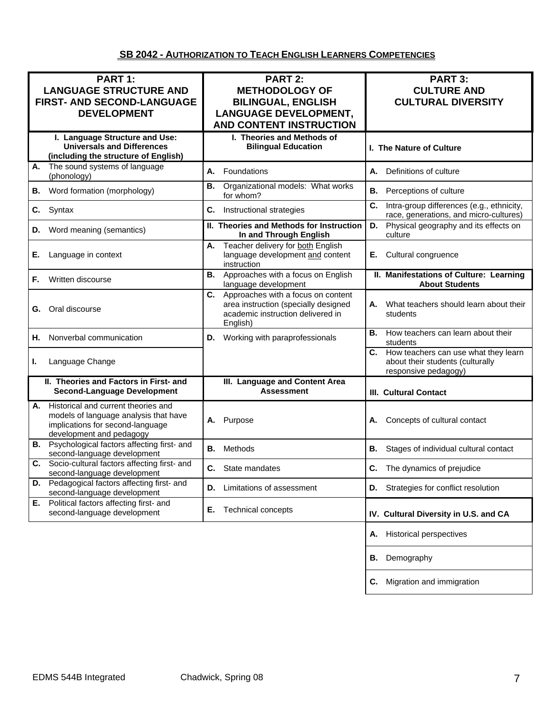# **SB 2042 - AUTHORIZATION TO TEACH ENGLISH LEARNERS COMPETENCIES**

| PART 1:<br><b>LANGUAGE STRUCTURE AND</b><br>FIRST- AND SECOND-LANGUAGE<br><b>DEVELOPMENT</b>                                                       | PART 2:<br><b>METHODOLOGY OF</b><br><b>BILINGUAL, ENGLISH</b><br><b>LANGUAGE DEVELOPMENT,</b><br><b>AND CONTENT INSTRUCTION</b> | PART 3:<br><b>CULTURE AND</b><br><b>CULTURAL DIVERSITY</b>                                          |
|----------------------------------------------------------------------------------------------------------------------------------------------------|---------------------------------------------------------------------------------------------------------------------------------|-----------------------------------------------------------------------------------------------------|
| I. Language Structure and Use:<br><b>Universals and Differences</b><br>(including the structure of English)                                        | I. Theories and Methods of<br><b>Bilingual Education</b>                                                                        | <b>I. The Nature of Culture</b>                                                                     |
| The sound systems of language<br>А.<br>(phonology)                                                                                                 | Foundations<br>А.                                                                                                               | Definitions of culture<br>А.                                                                        |
| Word formation (morphology)<br>В.                                                                                                                  | Organizational models: What works<br>В.<br>for whom?                                                                            | Perceptions of culture<br>В.                                                                        |
| Syntax<br>C.                                                                                                                                       | Instructional strategies<br>С.                                                                                                  | C.<br>Intra-group differences (e.g., ethnicity,<br>race, generations, and micro-cultures)           |
| Word meaning (semantics)<br>D.                                                                                                                     | II. Theories and Methods for Instruction<br>In and Through English                                                              | Physical geography and its effects on<br>D.<br>culture                                              |
| Language in context<br>Е.                                                                                                                          | Teacher delivery for both English<br>А.<br>language development and content<br>instruction                                      | Cultural congruence<br>Е.                                                                           |
| Written discourse<br>F.                                                                                                                            | Approaches with a focus on English<br>В.<br>language development                                                                | II. Manifestations of Culture: Learning<br><b>About Students</b>                                    |
| Oral discourse<br>G.                                                                                                                               | C. Approaches with a focus on content<br>area instruction (specially designed<br>academic instruction delivered in<br>English)  | What teachers should learn about their<br>А.<br>students                                            |
| Nonverbal communication<br>Н.                                                                                                                      | D. Working with paraprofessionals                                                                                               | How teachers can learn about their<br>В.<br>students                                                |
| Language Change<br>L.                                                                                                                              |                                                                                                                                 | C. How teachers can use what they learn<br>about their students (culturally<br>responsive pedagogy) |
| II. Theories and Factors in First- and<br><b>Second-Language Development</b>                                                                       | III. Language and Content Area<br><b>Assessment</b>                                                                             | <b>III. Cultural Contact</b>                                                                        |
| Historical and current theories and<br>А.<br>models of language analysis that have<br>implications for second-language<br>development and pedagogy | Purpose<br>А.                                                                                                                   | Concepts of cultural contact<br>А.                                                                  |
| Psychological factors affecting first- and<br>В.<br>second-language development                                                                    | Methods<br>В.                                                                                                                   | В.<br>Stages of individual cultural contact                                                         |
| Socio-cultural factors affecting first- and<br>C.<br>second-language development                                                                   | C. State mandates                                                                                                               | The dynamics of prejudice<br>С.                                                                     |
| Pedagogical factors affecting first- and<br>D.<br>second-language development                                                                      | Limitations of assessment<br>D.                                                                                                 | Strategies for conflict resolution<br>D.                                                            |
| Political factors affecting first- and<br>Е.<br>second-language development                                                                        | Е.<br><b>Technical concepts</b>                                                                                                 | IV. Cultural Diversity in U.S. and CA                                                               |
|                                                                                                                                                    |                                                                                                                                 | <b>Historical perspectives</b><br>Α.                                                                |
|                                                                                                                                                    |                                                                                                                                 | Demography<br>В.                                                                                    |
|                                                                                                                                                    |                                                                                                                                 | Migration and immigration<br>С.                                                                     |